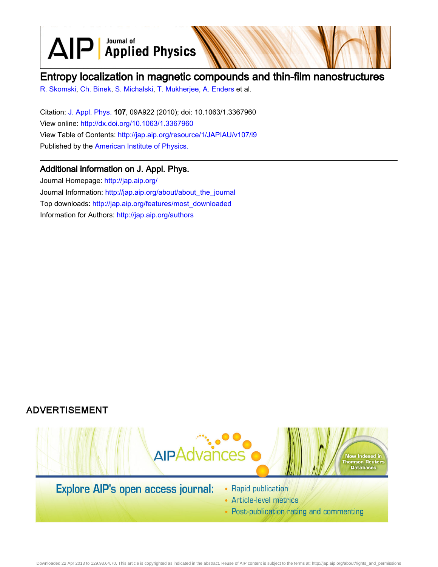$\text{AlP}$  Applied Physics

# Entropy localization in magnetic compounds and thin-film nanostructures

[R. Skomski,](http://jap.aip.org/search?sortby=newestdate&q=&searchzone=2&searchtype=searchin&faceted=faceted&key=AIP_ALL&possible1=R. Skomski&possible1zone=author&alias=&displayid=AIP&ver=pdfcov) [Ch. Binek](http://jap.aip.org/search?sortby=newestdate&q=&searchzone=2&searchtype=searchin&faceted=faceted&key=AIP_ALL&possible1=Ch. Binek&possible1zone=author&alias=&displayid=AIP&ver=pdfcov), [S. Michalski](http://jap.aip.org/search?sortby=newestdate&q=&searchzone=2&searchtype=searchin&faceted=faceted&key=AIP_ALL&possible1=S. Michalski&possible1zone=author&alias=&displayid=AIP&ver=pdfcov), [T. Mukherjee](http://jap.aip.org/search?sortby=newestdate&q=&searchzone=2&searchtype=searchin&faceted=faceted&key=AIP_ALL&possible1=T. Mukherjee&possible1zone=author&alias=&displayid=AIP&ver=pdfcov), [A. Enders](http://jap.aip.org/search?sortby=newestdate&q=&searchzone=2&searchtype=searchin&faceted=faceted&key=AIP_ALL&possible1=A. Enders&possible1zone=author&alias=&displayid=AIP&ver=pdfcov) et al.

Citation: [J. Appl. Phys.](http://jap.aip.org/?ver=pdfcov) 107, 09A922 (2010); doi: 10.1063/1.3367960 View online: [http://dx.doi.org/10.1063/1.3367960](http://link.aip.org/link/doi/10.1063/1.3367960?ver=pdfcov) View Table of Contents: [http://jap.aip.org/resource/1/JAPIAU/v107/i9](http://jap.aip.org/resource/1/JAPIAU/v107/i9?ver=pdfcov) Published by the [American Institute of Physics.](http://www.aip.org/?ver=pdfcov)

## Additional information on J. Appl. Phys.

Journal Homepage: [http://jap.aip.org/](http://jap.aip.org/?ver=pdfcov) Journal Information: [http://jap.aip.org/about/about\\_the\\_journal](http://jap.aip.org/about/about_the_journal?ver=pdfcov) Top downloads: [http://jap.aip.org/features/most\\_downloaded](http://jap.aip.org/features/most_downloaded?ver=pdfcov) Information for Authors: [http://jap.aip.org/authors](http://jap.aip.org/authors?ver=pdfcov)

## **ADVERTISEMENT**



- Article-level metrics
- Post-publication rating and commenting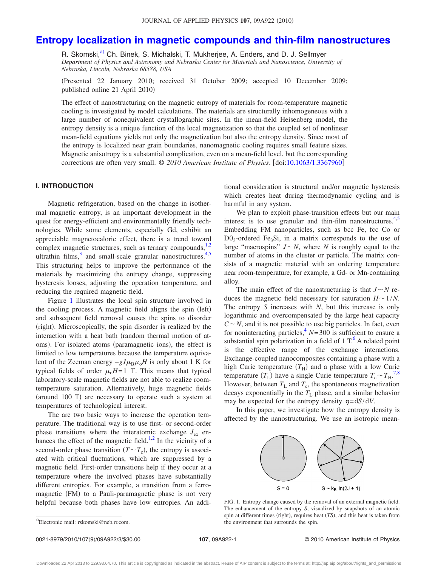## **[Entropy localization in magnetic compounds and thin-film nanostructures](http://dx.doi.org/10.1063/1.3367960)**

R. Skomski,<sup>a)</sup> Ch. Binek, S. Michalski, T. Mukherjee, A. Enders, and D. J. Sellmyer *Department of Physics and Astronomy and Nebraska Center for Materials and Nanoscience, University of Nebraska, Lincoln, Nebraska 68588, USA*

Presented 22 January 2010; received 31 October 2009; accepted 10 December 2009; published online 21 April 2010)

The effect of nanostructuring on the magnetic entropy of materials for room-temperature magnetic cooling is investigated by model calculations. The materials are structurally inhomogeneous with a large number of nonequivalent crystallographic sites. In the mean-field Heisenberg model, the entropy density is a unique function of the local magnetization so that the coupled set of nonlinear mean-field equations yields not only the magnetization but also the entropy density. Since most of the entropy is localized near grain boundaries, nanomagnetic cooling requires small feature sizes. Magnetic anisotropy is a substantial complication, even on a mean-field level, but the corresponding corrections are often very small. © *2010 American Institute of Physics*. doi[:10.1063/1.3367960](http://dx.doi.org/10.1063/1.3367960)

### **I. INTRODUCTION**

Magnetic refrigeration, based on the change in isothermal magnetic entropy, is an important development in the quest for energy-efficient and environmentally friendly technologies. While some elements, especially Gd, exhibit an appreciable magnetocaloric effect, there is a trend toward complex magnetic structures, such as ternary compounds, $1,2$  $1,2$ ultrathin films, $3$  and small-scale granular nanostructures. $4,5$  $4,5$ This structuring helps to improve the performance of the materials by maximizing the entropy change, suppressing hysteresis looses, adjusting the operation temperature, and reducing the required magnetic field.

Figure [1](#page-1-0) illustrates the local spin structure involved in the cooling process. A magnetic field aligns the spin (left) and subsequent field removal causes the spins to disorder (right). Microscopically, the spin disorder is realized by the interaction with a heat bath (random thermal motion of atoms). For isolated atoms (paramagnetic ions), the effect is limited to low temperatures because the temperature equivalent of the Zeeman energy  $-gJ\mu_B\mu_0H$  is only about 1 K for typical fields of order  $\mu_0H=1$  T. This means that typical laboratory-scale magnetic fields are not able to realize roomtemperature saturation. Alternatively, huge magnetic fields (around 100 T) are necessary to operate such a system at temperatures of technological interest.

The are two basic ways to increase the operation temperature. The traditional way is to use first- or second-order phase transitions where the interatomic exchange  $J_{ex}$  en-hances the effect of the magnetic field.<sup>1[,2](#page-3-1)</sup> In the vicinity of a second-order phase transition  $(T \sim T_c)$ , the entropy is associated with critical fluctuations, which are suppressed by a magnetic field. First-order transitions help if they occur at a temperature where the involved phases have substantially different entropies. For example, a transition from a ferromagnetic (FM) to a Pauli-paramagnetic phase is not very helpful because both phases have low entropies. An additional consideration is structural and/or magnetic hysteresis which creates heat during thermodynamic cycling and is harmful in any system.

We plan to exploit phase-transition effects but our main interest is to use granular and thin-film nanostructures. $4,5$  $4,5$ Embedding FM nanoparticles, such as bcc Fe, fcc Co or  $D0_3$ -ordered Fe<sub>3</sub>Si, in a matrix corresponds to the use of large "macrospins"  $J \sim N$ , where *N* is roughly equal to the number of atoms in the cluster or particle. The matrix consists of a magnetic material with an ordering temperature near room-temperature, for example, a Gd- or Mn-containing alloy.

The main effect of the nanostructuring is that  $J \sim N$  reduces the magnetic field necessary for saturation  $H \sim 1/N$ . The entropy *S* increases with *N*, but this increase is only logarithmic and overcompensated by the large heat capacity  $C \sim N$ , and it is not possible to use big particles. In fact, even for noninteracting particles,  $N=300$  is sufficient to ensure a substantial spin polarization in a field of  $1 T<sup>6</sup>$  A related point is the effective range of the exchange interactions. Exchange-coupled nanocomposites containing a phase with a high Curie temperature  $(T_H)$  and a phase with a low Curie temperature  $(T_L)$  have a single Curie temperature  $T_c \sim T_H$ .<sup>[7](#page-3-6)[,8](#page-3-7)</sup> However, between  $T_L$  and  $T_c$ , the spontaneous magnetization decays exponentially in the  $T_L$  phase, and a similar behavior may be expected for the entropy density  $\eta = dS/dV$ .

<span id="page-1-0"></span>In this paper, we investigate how the entropy density is affected by the nanostructuring. We use an isotropic mean-



FIG. 1. Entropy change caused by the removal of an external magnetic field. The enhancement of the entropy *S*, visualized by snapshots of an atomic spin at different times (right), requires heat (TS), and this heat is taken from the environment that surrounds the spin.

0021-8979/2010/107(9)/09A922/3/\$30.00

a)Electronic mail: rskomski@neb.rr.com.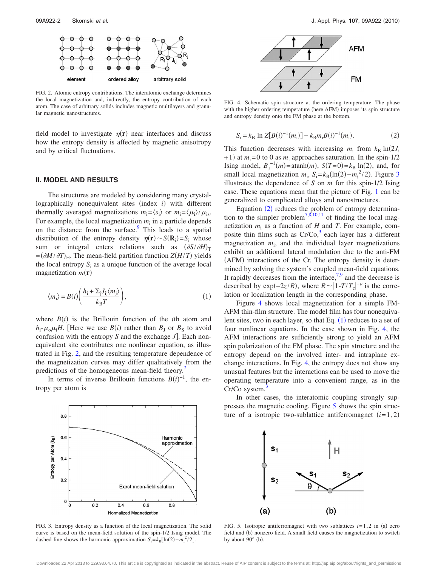<span id="page-2-0"></span>

FIG. 2. Atomic entropy contributions. The interatomic exchange determines the local magnetization and, indirectly, the entropy contribution of each atom. The case of arbitrary solids includes magnetic multilayers and granular magnetic nanostructures.

field model to investigate  $\eta(r)$  near interfaces and discuss how the entropy density is affected by magnetic anisotropy and by critical fluctuations.

### **II. MODEL AND RESULTS**

The structures are modeled by considering many crystallographically nonequivalent sites (index *i*) with different thermally averaged magnetizations  $m_i = \langle s_i \rangle$  or  $m_i = \langle \mu_i \rangle / \mu_i$ . For example, the local magnetization  $m_i$  in a particle depends on the distance from the surface.<sup>9</sup> This leads to a spatial distribution of the entropy density  $\eta(\mathbf{r}) \sim S(\mathbf{R}_i) = S_i$  whose sum or integral enters relations such as  $(\partial S/\partial H)_{\text{T}}$  $= (\partial M / \partial T)_{\text{H}}$ . The mean-field partition function *Z*(*H*/*T*) yields the local entropy  $S_i$  as a unique function of the average local magnetization  $m(\mathbf{r})$ 

<span id="page-2-4"></span>
$$
\langle m_{\rm i} \rangle = B(i) \left( \frac{h_{\rm i} + \Sigma_{\rm j} J_{\rm ij} \langle m_{\rm j} \rangle}{k_{\rm B} T} \right),\tag{1}
$$

where  $B(i)$  is the Brillouin function of the *i*th atom and  $h_i$ - $\mu_0$  $\mu_i$ *H*. [Here we use *B*(*i*) rather than *B*<sub>J</sub> or *B*<sub>S</sub> to avoid confusion with the entropy *S* and the exchange *J*. Each nonequivalent site contributes one nonlinear equation, as illustrated in Fig. [2,](#page-2-0) and the resulting temperature dependence of the magnetization curves may differ qualitatively from the predictions of the homogeneous mean-field theory.<sup>4</sup>

In terms of inverse Brillouin functions  $B(i)^{-1}$ , the entropy per atom is

<span id="page-2-1"></span>

FIG. 3. Entropy density as a function of the local magnetization. The solid curve is based on the mean-field solution of the spin-1/2 Ising model. The dashed line shows the harmonic approximation  $S_i = k_B [\ln(2) - m_i^2 / 2]$ .

<span id="page-2-3"></span>

FIG. 4. Schematic spin structure at the ordering temperature. The phase with the higher ordering temperature (here AFM) imposes its spin structure and entropy density onto the FM phase at the bottom.

<span id="page-2-2"></span>
$$
S_i = k_B \ln Z[B(i)^{-1}(m_i)] - k_B m_i B(i)^{-1}(m_i). \tag{2}
$$

This function decreases with increasing  $m_i$  from  $k_B \ln(2J_i)$  $+1$ ) at  $m_i=0$  to 0 as  $m_i$  approaches saturation. In the spin-1/2 Ising model,  $B_J^{-1}(m) = \operatorname{atanh}(m)$ ,  $S(T=0) = k_B \ln(2)$ , and, for small local magnetization  $m_i$ ,  $S_i = k_B(\ln(2) - m_i^2/2)$ . Figure [3](#page-2-1) illustrates the dependence of *S* on *m* for this spin-1/2 Ising case. These equations mean that the picture of Fig. [1](#page-1-0) can be generalized to complicated alloys and nanostructures.

Equation ([2](#page-2-2)) reduces the problem of entropy determina-tion to the simpler problem<sup>7,[8](#page-3-7)[,10,](#page-3-9)[11](#page-3-10)</sup> of finding the local magnetization  $m_i$  as a function of  $H$  and  $T$ . For example, composite thin films such as  $Cr/Co<sub>1</sub><sup>3</sup>$  each layer has a different magnetization  $m_i$ , and the individual layer magnetizations exhibit an additional lateral modulation due to the anti-FM (AFM) interactions of the Cr. The entropy density is determined by solving the system's coupled mean-field equations. It rapidly decreases from the interface, $7.9$  $7.9$  and the decrease is described by exp( $-2z/R$ ), where  $R \sim |1 - T/T_c|^{-\nu}$  is the correlation or localization length in the corresponding phase.

Figure [4](#page-2-3) shows local magnetization for a simple FM-AFM thin-film structure. The model film has four nonequivalent sites, two in each layer, so that Eq.  $(1)$  $(1)$  $(1)$  reduces to a set of four nonlinear equations. In the case shown in Fig. [4,](#page-2-3) the AFM interactions are sufficiently strong to yield an AFM spin polarization of the FM phase. The spin structure and the entropy depend on the involved inter- and intraplane exchange interactions. In Fig. [4,](#page-2-3) the entropy does not show any unusual features but the interactions can be used to move the operating temperature into a convenient range, as in the Cr/Co system.

In other cases, the interatomic coupling strongly suppresses the magnetic cooling. Figure [5](#page-2-5) shows the spin structure of a isotropic two-sublattice antiferromagnet  $(i=1,2)$ 

<span id="page-2-5"></span>

FIG. 5. Isotropic antiferromagnet with two sublattices  $i=1,2$  in (a) zero field and (b) nonzero field. A small field causes the magnetization to switch by about  $90^\circ$  (b).